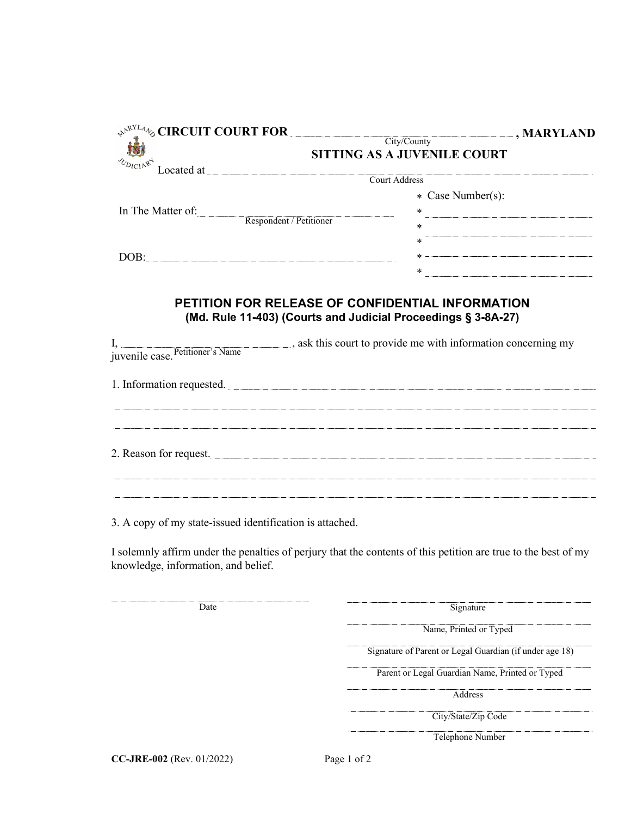|                                                                                                                                            | $\leftrightarrow^{\mathbb{R}^{NLA}_{\bullet}}$ CIRCUIT COURT FOR City/County<br>$\Box$ , MARYLAND |
|--------------------------------------------------------------------------------------------------------------------------------------------|---------------------------------------------------------------------------------------------------|
|                                                                                                                                            | SITTING AS A JUVENILE COURT                                                                       |
|                                                                                                                                            |                                                                                                   |
|                                                                                                                                            | * Case Number(s):                                                                                 |
|                                                                                                                                            |                                                                                                   |
| $\begin{tabular}{l} In The Matter of: \end{tabular} \begin{tabular}{p{6cm}} \hline \textbf{Keyondent} / \textbf{Petitioner} \end{tabular}$ | $\ast$                                                                                            |
|                                                                                                                                            | $\begin{array}{c c c c c c} \ast \end{array}$                                                     |
| $\boxed{\text{DOB:}}$                                                                                                                      |                                                                                                   |
|                                                                                                                                            |                                                                                                   |
|                                                                                                                                            | (Md. Rule 11-403) (Courts and Judicial Proceedings § 3-8A-27)                                     |
|                                                                                                                                            |                                                                                                   |
|                                                                                                                                            | 1. Information requested.                                                                         |
|                                                                                                                                            | ,我们就会在这里,我们就会在这里的时候,我们就会在这里,我们就会在这里,我们就会在这里,我们就会在这里,我们就会在这里,我们就会在这里,我们就会在这里,我们就会                  |
|                                                                                                                                            | 2. Reason for request.                                                                            |

3. A copy of my state-issued identification is attached.

I solemnly affirm under the penalties of perjury that the contents of this petition are true to the best of my knowledge, information, and belief.

| Date                      | Signature                                               |
|---------------------------|---------------------------------------------------------|
|                           | Name, Printed or Typed                                  |
|                           | Signature of Parent or Legal Guardian (if under age 18) |
|                           | Parent or Legal Guardian Name, Printed or Typed         |
|                           | Address                                                 |
|                           | City/State/Zip Code                                     |
|                           | Telephone Number                                        |
| CC-JRE-002 (Rev. 01/2022) | Page 1 of 2                                             |